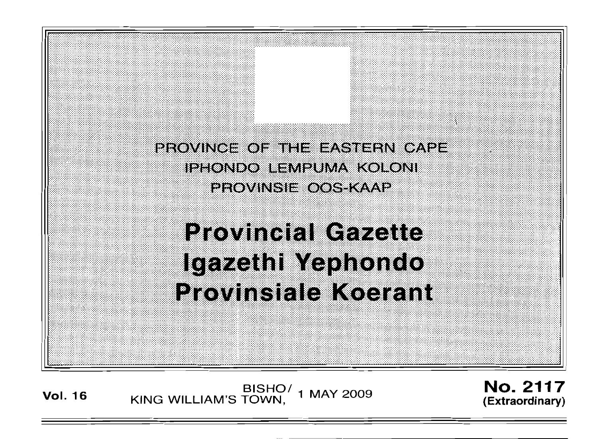PROVINCE OF THE EASTERN CAPE IPHONDO LEMPUMA KOLONI **PROVINSIE OOS-KAAP** 

# **Provincial Gazette** Igazethi Yephondo **Provinsiale Koerant**

**Vol. <sup>16</sup>** BISHO/ KING WILLIAM'S TOWN , 1 MAY 2009

No. 2117 **(Extraordinary)**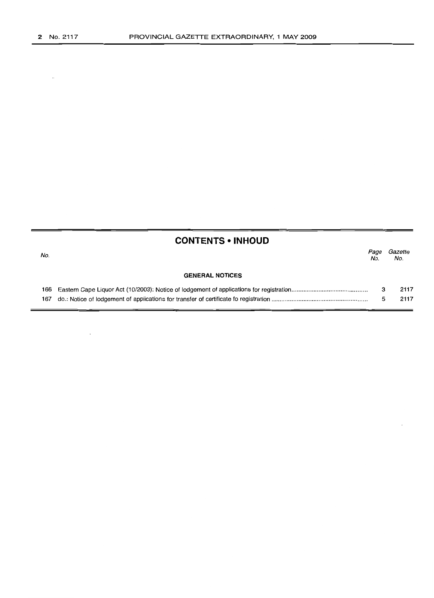$\sim$ 

 $\sim$   $\sim$ 

|     | <b>CONTENTS • INHOUD</b> |             |                |
|-----|--------------------------|-------------|----------------|
| No. |                          | Page<br>No. | Gazette<br>No. |
|     | <b>GENERAL NOTICES</b>   |             |                |
|     |                          | з           | 2117           |
|     |                          | 5           | 2117           |
|     |                          |             |                |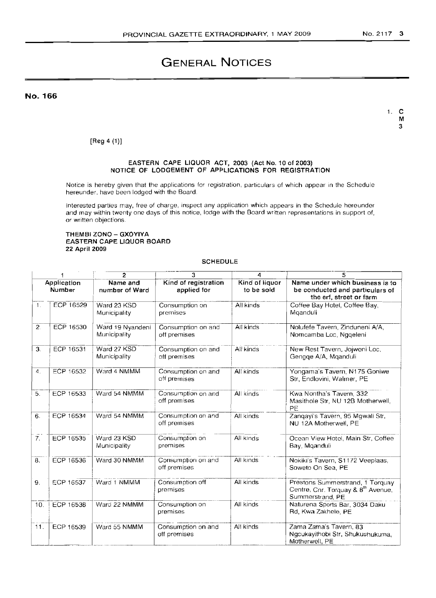# **GENERAL NOTICES**

**No. 166**

1. C M 3

[Reg 4 (1)]

## EASTERN CAPE LIQUOR ACT, 2003 (Act No. 10 of 2003) NOTICE OF LODGEMENT OF APPLICATIONS FOR REGISTRATION

Notice is hereby given that the applications for registration, particulars of which appear in the Schedule hereunder, have been lodged with the Board.

Interested parties may, free of charge, inspect any application which appears in the Schedule hereunder and may within twenty one days of this notice, lodge with the Board written representations in support of, or written objections.

## THEMBI ZONO - GXOYIYA EASTERN CAPE LIQUOR BOARD 22 April 2009

SCHEDULE

| 2<br>3<br>5<br>Δ<br>1 |                  |                                  |                                     |                              |                                                                                               |
|-----------------------|------------------|----------------------------------|-------------------------------------|------------------------------|-----------------------------------------------------------------------------------------------|
| Application<br>Number |                  | Name and<br>number of Ward       | Kind of registration<br>applied for | Kind of liquor<br>to be sold | Name under which business is to<br>be conducted and particulars of<br>the erf, street or farm |
| 1 <sub>1</sub>        | ECP 16529        | Ward 23 KSD<br>Municipality      | Consumption on<br>premises          | All kinds                    | Coffee Bay Hotel, Coffee Bay,<br>Mganduli                                                     |
| 2.                    | <b>ECP 16530</b> | Ward 19 Nyandeni<br>Municipality | Consumption on and<br>off premises  | All kinds                    | Nolufefe Tavern, Zinduneni A/A,<br>Nomcamba Loc, Nggeleni                                     |
| 3.                    | ECP 16531        | Ward 27 KSD<br>Municipality      | Consumption on and<br>off premises  | All kinds                    | New Rest Tavern, Jojweni Loc,<br>Gengge A/A, Mganduli                                         |
| 4.                    | ECP 16532        | Ward 4 NMMM                      | Consumption on and<br>off premises  | All kinds                    | Yongama's Tavern, N175 Goniwe<br>Str, Endlovini, Walmer, PE                                   |
| 5.                    | ECP 16533        | Ward 54 NMMM                     | Consumption on and<br>off premises  | All kinds                    | Kwa Nontha's Tavern, 332<br>Masithole Str. NU 12B Motherwell,<br>PE                           |
| 6.                    | ECP 16534        | Ward 54 NMMM                     | Consumption on and<br>off premises  | All kinds                    | Zanqayi's Tavern, 95 Mgwali Str.<br>NU 12A Motherwell, PE                                     |
| $\tilde{7}$ .         | ECP 16535        | Ward 23 KSD<br>Municipality      | Consumption on<br>premises          | All kinds                    | Ocean View Hotel, Main Str, Coffee<br>Bay, Mganduli                                           |
| 8.                    | <b>ECP 16536</b> | Ward 30 NMMM                     | Consumption on and<br>off premises  | All kinds                    | Nokiki's Tavern, S1172 Veeplaas,<br>Soweto On Sea, PE                                         |
| 9.                    | ECP 16537        | Ward 1 NMMM                      | Consumption off<br>premises         | All kinds                    | Prestons Summerstrand, 1 Torquay<br>Centre, Cnr. Torquay & 8th Avenue,<br>Summerstrand, PE    |
| 10.                   | ECP 16538        | Ward 22 NMMM                     | Consumption on<br>premises          | All kinds                    | Naturena Sports Bar, 3034 Daku<br>Rd, Kwa Zakhele, PE                                         |
| 11.                   | ECP 16539        | Ward 55 NMMM                     | Consumption on and<br>off premises  | All kinds                    | Zama Zama's Tavern, 83<br>Ngcukayithobi Str, Shukushukuma,<br>Motherwell, PE                  |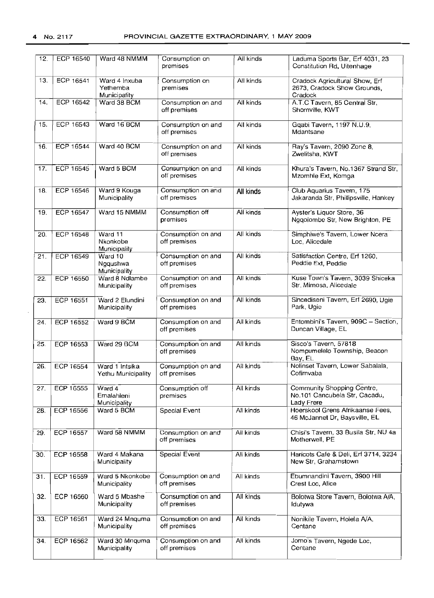| 12.               | <b>ECP 16540</b>       | Ward 48 NMMM                              | Consumption on<br>premises         | All kinds | Laduma Sports Bar, Erf 4031, 23<br>Constitution Rd, Uitenhage             |  |
|-------------------|------------------------|-------------------------------------------|------------------------------------|-----------|---------------------------------------------------------------------------|--|
| 13.               | ECP 16541              | Ward 4 Inxuba<br>Yethemba<br>Municipality | Consumption on<br>premises         | All kinds | Cradock Agricultural Show, Erf<br>2673, Cradock Show Grounds,<br>Cradock  |  |
| 14.               | ECP 16542              | Ward 38 BCM                               | Consumption on and<br>off premises | All kinds | A.T.C Tavern, 85 Central Str,<br>Shornville, KWT                          |  |
| 15.               | ECP 16543              | Ward 16 BCM                               | Consumption on and<br>off premises | All kinds | Gqabi Tavern, 1197 N.U.9,<br>Mdantsane                                    |  |
| 16.               | ECP 16544              | Ward 40 BCM                               | Consumption on and<br>off premises | All kinds | Ray's Tavern, 2090 Zone 8,<br>Zwelitsha, KWT                              |  |
| 17.               | <b>ECP 16545</b>       | Ward 5 BCM                                | Consumption on and<br>off premises | All kinds | Khura's Tavern, No.1367 Strand Str,<br>Mzomhle Ext, Komga                 |  |
| 18.               | ECP 16546              | Ward 9 Kouga<br>Municipality              | Consumption on and<br>off premises | All kinds | Club Aquarius Tavern, 175<br>Jakaranda Str, Phillipsville, Hankey         |  |
| 19.               | ECP 16547              | Ward 15 NMMM                              | Consumption off<br>premises        | All kinds | Ayster's Liquor Store, 36<br>Nggolombe Str, New Brighton, PE              |  |
| 20.               | <b>ECP 16548</b>       | Ward 11<br>Nkonkobe<br>Municipality       | Consumption on and<br>off premises | All kinds | Simphiwe's Tavern, Lower Ncera<br>Loc, Alicedale                          |  |
| 21.               | <b>ECP 16549</b>       | Ward 10<br>Ngqushwa<br>Municipality       | Consumption on and<br>off premises | All kinds | Satisfaction Centre, Erf 1260,<br>Peddie Ext, Peddie                      |  |
| 22.               | ECP 16550              | Ward 8 Ndlambe<br>Municipality            | Consumption on and<br>off premises | All kinds | Kuse Town's Tavern, 3039 Shiceka<br>Str, Mimosa, Alicedale                |  |
| 23.               | ECP 16551              | Ward 2 Elundini<br>Municipality           | Consumption on and<br>off premises | All kinds | Sincediseni Tavern, Erf 2690, Ugie<br>Park, Ugie                          |  |
| 24.               | ECP 16552              | Ward 9 BCM                                | Consumption on and<br>off premises | All kinds | Entombini's Tavern, 909C - Section,<br>Duncan Village, EL                 |  |
| 25.               | ECP 16553              | Ward 29 BCM                               | Consumption on and<br>off premises | All kinds | Sisco's Tavern, 57818<br>Nompumelelo Township, Beacon<br>Bay, EL          |  |
| 26.               | ECP 16554              | Ward 1 Intsika<br>Yethu Municipality      | Consumption on and<br>off premises | All kinds | Nolinset Tavern, Lower Sabalala,<br>Cofimvaba                             |  |
| $\overline{27}$ . | $\overline{ECP}$ 16555 | Ward 4<br>Emalahleni<br>Municipality      | Consumption off<br>premises        | All kinds | Community Shopping Centre,<br>No.101 Cancubela Str, Cacadu,<br>Lady Frere |  |
| 28.               | ECP 16556              | Ward 5 BCM                                | Special Event                      | All kinds | Hoerskool Grens Afrikaanse Fees,<br>46 McJannet Dr, Baysville, EL         |  |
| 29.               | ECP 16557              | Ward 58 NMMM                              | Consumption on and<br>off premises | All kinds | Chisi's Tavern, 33 Busila Str, NU 4a<br>Motherwell, PE                    |  |
| 30.               | ECP 16558              | Ward 4 Makana<br>Municipality             | Special Event                      | All kinds | Haricots Cafe & Deli, Erf 3714, 3234<br>New Str. Grahamstown              |  |
| 31.               | ECP 16559              | Ward 5 Nkonkobe<br>Municipality           | Consumption on and<br>off premises | All kinds | Ebumnandini Tavern, 3900 Hill<br>Crest Loc, Alice                         |  |
| 32.               | ECP 16560              | Ward 5 Mbashe<br>Municipality             | Consumption on and<br>off premises | All kinds | Bolotwa Store Tavern, Bolotwa A/A,<br>ld⊔tywa                             |  |
| 33.               | <b>ECP 16561</b>       | Ward 24 Mnquma<br>Municipality            | Consumption on and<br>off premises | All kinds | Nonikile Tavern, Holela A/A,<br>Centane                                   |  |
| 34.               | ECP 16562              | Ward 30 Mnquma<br>Municipality            | Consumption on and<br>off premises | All kinds | Jomo's Tavern, Ngede Loc,<br>Centane                                      |  |